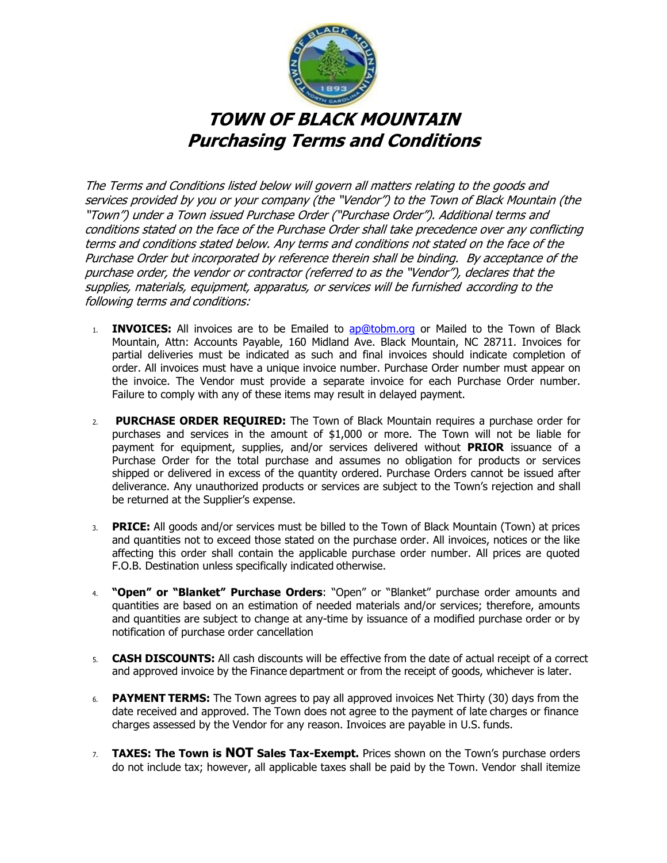

The Terms and Conditions listed below will govern all matters relating to the goods and services provided by you or your company (the "Vendor") to the Town of Black Mountain (the "Town") under a Town issued Purchase Order ("Purchase Order"). Additional terms and conditions stated on the face of the Purchase Order shall take precedence over any conflicting terms and conditions stated below. Any terms and conditions not stated on the face of the Purchase Order but incorporated by reference therein shall be binding. By acceptance of the purchase order, the vendor or contractor (referred to as the "Vendor"), declares that the supplies, materials, equipment, apparatus, or services will be furnished according to the following terms and conditions:

- 1. **INVOICES:** All invoices are to be Emailed to ap@tobm.org or Mailed to the Town of Black Mountain, Attn: Accounts Payable, 160 Midland Ave. Black Mountain, NC 28711. Invoices for partial deliveries must be indicated as such and final invoices should indicate completion of order. All invoices must have a unique invoice number. Purchase Order number must appear on the invoice. The Vendor must provide a separate invoice for each Purchase Order number. Failure to comply with any of these items may result in delayed payment.
- 2. **PURCHASE ORDER REQUIRED:** The Town of Black Mountain requires a purchase order for purchases and services in the amount of \$1,000 or more. The Town will not be liable for payment for equipment, supplies, and/or services delivered without **PRIOR** issuance of a Purchase Order for the total purchase and assumes no obligation for products or services shipped or delivered in excess of the quantity ordered. Purchase Orders cannot be issued after deliverance. Any unauthorized products or services are subject to the Town's rejection and shall be returned at the Supplier's expense.
- 3. **PRICE:** All goods and/or services must be billed to the Town of Black Mountain (Town) at prices and quantities not to exceed those stated on the purchase order. All invoices, notices or the like affecting this order shall contain the applicable purchase order number. All prices are quoted F.O.B. Destination unless specifically indicated otherwise.
- 4. **"Open" or "Blanket" Purchase Orders**: "Open" or "Blanket" purchase order amounts and quantities are based on an estimation of needed materials and/or services; therefore, amounts and quantities are subject to change at any-time by issuance of a modified purchase order or by notification of purchase order cancellation
- 5. **CASH DISCOUNTS:** All cash discounts will be effective from the date of actual receipt of a correct and approved invoice by the Finance department or from the receipt of goods, whichever is later.
- 6. **PAYMENT TERMS:** The Town agrees to pay all approved invoices Net Thirty (30) days from the date received and approved. The Town does not agree to the payment of late charges or finance charges assessed by the Vendor for any reason. Invoices are payable in U.S. funds.
- 7. **TAXES: The Town is NOT Sales Tax-Exempt.** Prices shown on the Town's purchase orders do not include tax; however, all applicable taxes shall be paid by the Town. Vendor shall itemize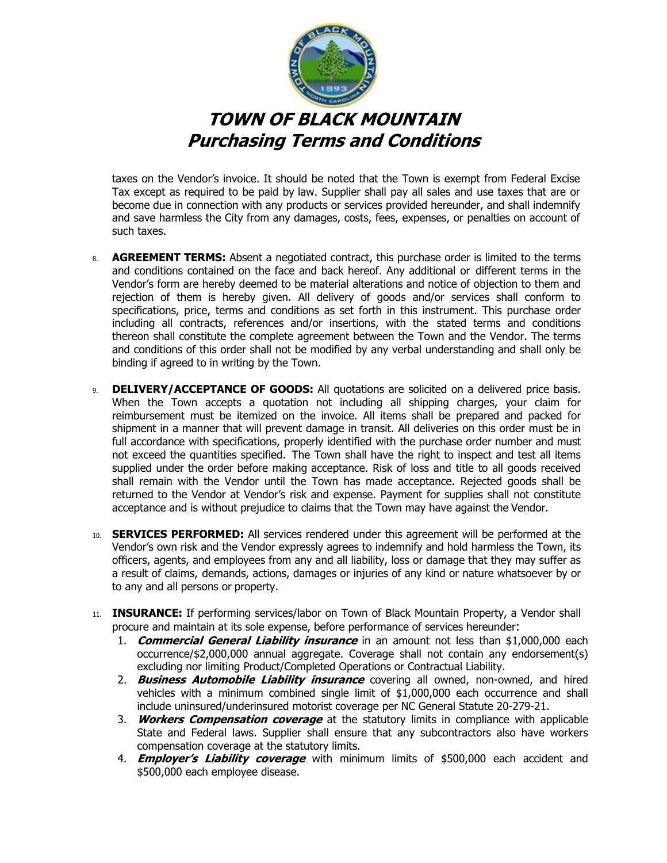

taxes on the Vendor's invoice. It should be noted that the Town is exempt from Federal Excise Tax except as required to be paid by law. Supplier shall pay all sales and use taxes that are or become due in connection with any products or services provided hereunder, and shall indemnify and save harmless the City from any damages, costs, fees, expenses, or penalties on account of such taxes.

- 8. **AGREEMENT TERMS:** Absent a negotiated contract, this purchase order is limited to the terms and conditions contained on the face and back hereof. Any additional or different terms in the Vendor's form are hereby deemed to be material alterations and notice of objection to them and rejection of them is hereby given. All delivery of goods and/or services shall conform to specifications, price, terms and conditions as set forth in this instrument. This purchase order including all contracts, references and/or insertions, with the stated terms and conditions thereon shall constitute the complete agreement between the Town and the Vendor. The terms and conditions of this order shall not be modified by any verbal understanding and shall only be binding if agreed to in writing by the Town.
- 9. **DELIVERY/ACCEPTANCE OF GOODS:** All quotations are solicited on a delivered price basis. When the Town accepts a quotation not including all shipping charges, your claim for reimbursement must be itemized on the invoice. All items shall be prepared and packed for shipment in a manner that will prevent damage in transit. All deliveries on this order must be in full accordance with specifications, properly identified with the purchase order number and must not exceed the quantities specified. The Town shall have the right to inspect and test all items supplied under the order before making acceptance. Risk of loss and title to all goods received shall remain with the Vendor until the Town has made acceptance. Rejected goods shall be returned to the Vendor at Vendor's risk and expense. Payment for supplies shall not constitute acceptance and is without prejudice to claims that the Town may have against the Vendor.
- 10. **SERVICES PERFORMED:** All services rendered under this agreement will be performed at the Vendor's own risk and the Vendor expressly agrees to indemnify and hold harmless the Town, its officers, agents, and employees from any and all liability, loss or damage that they may suffer as a result of claims, demands, actions, damages or injuries of any kind or nature whatsoever by or to any and all persons or property.
- 11. **INSURANCE:** If performing services/labor on Town of Black Mountain Property, a Vendor shall procure and maintain at its sole expense, before performance of services hereunder:
	- 1. **Commercial General Liability insurance** in an amount not less than \$1,000,000 each occurrence/\$2,000,000 annual aggregate. Coverage shall not contain any endorsement(s) excluding nor limiting Product/Completed Operations or Contractual Liability.
	- 2. **Business Automobile Liability insurance** covering all owned, non-owned, and hired vehicles with a minimum combined single limit of \$1,000,000 each occurrence and shall include uninsured/underinsured motorist coverage per NC General Statute 20-279-21.
	- 3. **Workers Compensation coverage** at the statutory limits in compliance with applicable State and Federal laws. Supplier shall ensure that any subcontractors also have workers compensation coverage at the statutory limits.
	- 4. **Employer's Liability coverage** with minimum limits of \$500,000 each accident and \$500,000 each employee disease.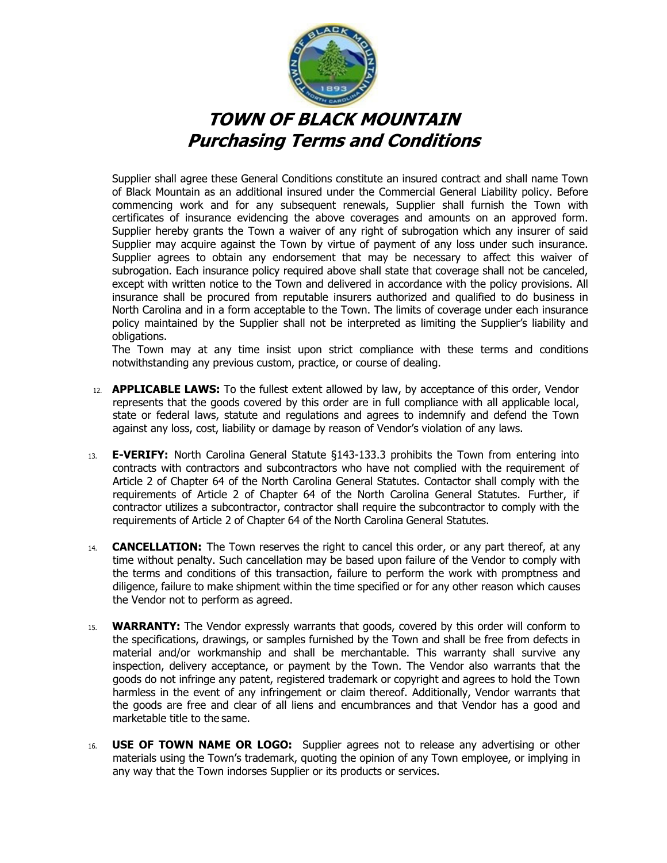

 Supplier shall agree these General Conditions constitute an insured contract and shall name Town of Black Mountain as an additional insured under the Commercial General Liability policy. Before commencing work and for any subsequent renewals, Supplier shall furnish the Town with certificates of insurance evidencing the above coverages and amounts on an approved form. Supplier hereby grants the Town a waiver of any right of subrogation which any insurer of said Supplier may acquire against the Town by virtue of payment of any loss under such insurance. Supplier agrees to obtain any endorsement that may be necessary to affect this waiver of subrogation. Each insurance policy required above shall state that coverage shall not be canceled, except with written notice to the Town and delivered in accordance with the policy provisions. All insurance shall be procured from reputable insurers authorized and qualified to do business in North Carolina and in a form acceptable to the Town. The limits of coverage under each insurance policy maintained by the Supplier shall not be interpreted as limiting the Supplier's liability and obligations.

 The Town may at any time insist upon strict compliance with these terms and conditions notwithstanding any previous custom, practice, or course of dealing.

- 12. **APPLICABLE LAWS:** To the fullest extent allowed by law, by acceptance of this order, Vendor represents that the goods covered by this order are in full compliance with all applicable local, state or federal laws, statute and regulations and agrees to indemnify and defend the Town against any loss, cost, liability or damage by reason of Vendor's violation of any laws.
- 13. **E-VERIFY:** North Carolina General Statute §143-133.3 prohibits the Town from entering into contracts with contractors and subcontractors who have not complied with the requirement of Article 2 of Chapter 64 of the North Carolina General Statutes. Contactor shall comply with the requirements of Article 2 of Chapter 64 of the North Carolina General Statutes. Further, if contractor utilizes a subcontractor, contractor shall require the subcontractor to comply with the requirements of Article 2 of Chapter 64 of the North Carolina General Statutes.
- 14. **CANCELLATION:** The Town reserves the right to cancel this order, or any part thereof, at any time without penalty. Such cancellation may be based upon failure of the Vendor to comply with the terms and conditions of this transaction, failure to perform the work with promptness and diligence, failure to make shipment within the time specified or for any other reason which causes the Vendor not to perform as agreed.
- 15. **WARRANTY:** The Vendor expressly warrants that goods, covered by this order will conform to the specifications, drawings, or samples furnished by the Town and shall be free from defects in material and/or workmanship and shall be merchantable. This warranty shall survive any inspection, delivery acceptance, or payment by the Town. The Vendor also warrants that the goods do not infringe any patent, registered trademark or copyright and agrees to hold the Town harmless in the event of any infringement or claim thereof. Additionally, Vendor warrants that the goods are free and clear of all liens and encumbrances and that Vendor has a good and marketable title to the same.
- 16. **USE OF TOWN NAME OR LOGO:** Supplier agrees not to release any advertising or other materials using the Town's trademark, quoting the opinion of any Town employee, or implying in any way that the Town indorses Supplier or its products or services.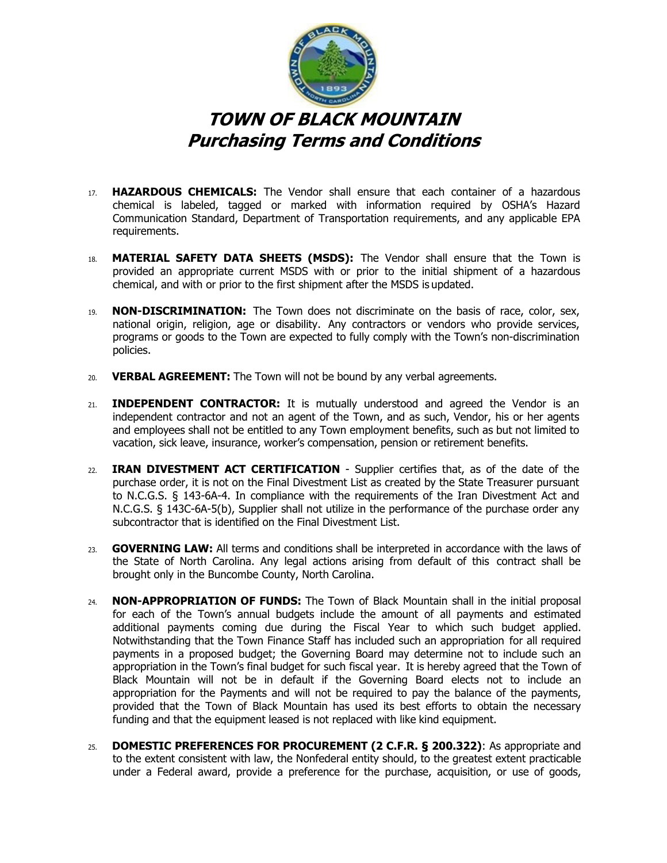

- 17. **HAZARDOUS CHEMICALS:** The Vendor shall ensure that each container of a hazardous chemical is labeled, tagged or marked with information required by OSHA's Hazard Communication Standard, Department of Transportation requirements, and any applicable EPA requirements.
- 18. **MATERIAL SAFETY DATA SHEETS (MSDS):** The Vendor shall ensure that the Town is provided an appropriate current MSDS with or prior to the initial shipment of a hazardous chemical, and with or prior to the first shipment after the MSDS is updated.
- 19. **NON-DISCRIMINATION:** The Town does not discriminate on the basis of race, color, sex, national origin, religion, age or disability. Any contractors or vendors who provide services, programs or goods to the Town are expected to fully comply with the Town's non-discrimination policies.
- 20. **VERBAL AGREEMENT:** The Town will not be bound by any verbal agreements.
- 21. **INDEPENDENT CONTRACTOR:** It is mutually understood and agreed the Vendor is an independent contractor and not an agent of the Town, and as such, Vendor, his or her agents and employees shall not be entitled to any Town employment benefits, such as but not limited to vacation, sick leave, insurance, worker's compensation, pension or retirement benefits.
- 22. **IRAN DIVESTMENT ACT CERTIFICATION**  Supplier certifies that, as of the date of the purchase order, it is not on the Final Divestment List as created by the State Treasurer pursuant to N.C.G.S. § 143-6A-4. In compliance with the requirements of the Iran Divestment Act and N.C.G.S. § 143C-6A-5(b), Supplier shall not utilize in the performance of the purchase order any subcontractor that is identified on the Final Divestment List.
- 23. **GOVERNING LAW:** All terms and conditions shall be interpreted in accordance with the laws of the State of North Carolina. Any legal actions arising from default of this contract shall be brought only in the Buncombe County, North Carolina.
- 24. **NON-APPROPRIATION OF FUNDS:** The Town of Black Mountain shall in the initial proposal for each of the Town's annual budgets include the amount of all payments and estimated additional payments coming due during the Fiscal Year to which such budget applied. Notwithstanding that the Town Finance Staff has included such an appropriation for all required payments in a proposed budget; the Governing Board may determine not to include such an appropriation in the Town's final budget for such fiscal year. It is hereby agreed that the Town of Black Mountain will not be in default if the Governing Board elects not to include an appropriation for the Payments and will not be required to pay the balance of the payments, provided that the Town of Black Mountain has used its best efforts to obtain the necessary funding and that the equipment leased is not replaced with like kind equipment.
- 25. **DOMESTIC PREFERENCES FOR PROCUREMENT (2 C.F.R. § 200.322)**: As appropriate and to the extent consistent with law, the Nonfederal entity should, to the greatest extent practicable under a Federal award, provide a preference for the purchase, acquisition, or use of goods,